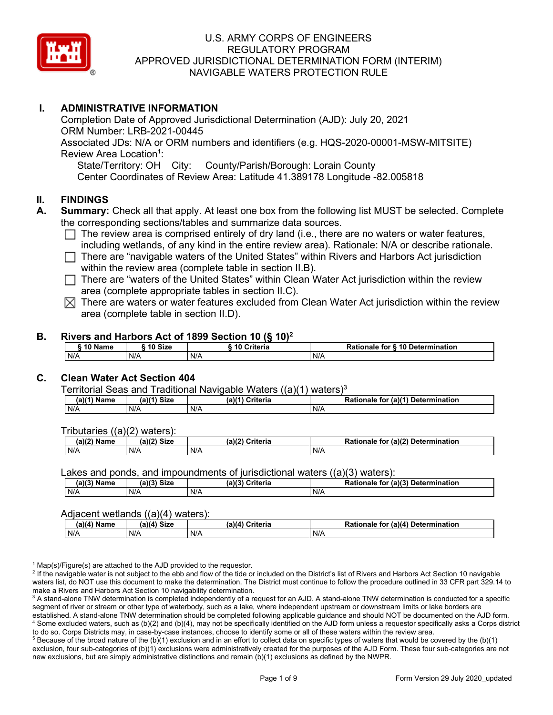

# **I. ADMINISTRATIVE INFORMATION**

Completion Date of Approved Jurisdictional Determination (AJD): July 20, 2021 ORM Number: LRB-2021-00445 Associated JDs: N/A or ORM numbers and identifiers (e.g. HQS-2020-00001-MSW-MITSITE) Review Area Location<sup>1</sup>: State/Territory: OH City: County/Parish/Borough: Lorain County Center Coordinates of Review Area: Latitude 41.389178 Longitude -82.005818

#### **II. FINDINGS**

- **A. Summary:** Check all that apply. At least one box from the following list MUST be selected. Complete the corresponding sections/tables and summarize data sources.
	- $\Box$  The review area is comprised entirely of dry land (i.e., there are no waters or water features, including wetlands, of any kind in the entire review area). Rationale: N/A or describe rationale.
	- $\Box$  There are "navigable waters of the United States" within Rivers and Harbors Act jurisdiction within the review area (complete table in section II.B).
	- $\Box$  There are "waters of the United States" within Clean Water Act jurisdiction within the review area (complete appropriate tables in section II.C).
	- $\boxtimes$  There are waters or water features excluded from Clean Water Act jurisdiction within the review area (complete table in section II.D).

#### **B. Rivers and Harbors Act of 1899 Section 10 (§ 10)2**

| 10 Name | 10 Size | ີ 10 Criteria<br>ruerra | ⋅ § 10 Determination<br><b>Rationale for §</b> |
|---------|---------|-------------------------|------------------------------------------------|
| N/A     | N/A     | N/A                     | N/A                                            |

# **C. Clean Water Act Section 404**

Territorial Seas and Traditional Navigable Waters  $((a)(1)$  waters)<sup>3</sup>

| Nam<br>'am⊾ | (a)(4)<br><b>Size</b> | Criteria<br>(a) | $\alpha$ (a)( <sup>4)</sup><br>Determination<br>tor<br>onaie<br>kativ |
|-------------|-----------------------|-----------------|-----------------------------------------------------------------------|
| N/A         | N/A                   | N/A             | N/A                                                                   |

Tributaries ((a)(2) waters):

| н   | $\sim$<br>$\sim$ Cine<br>JILE | 21/2<br>$"$ wid a wi $"$ a<br>пе | (2)<br><b>Determination</b><br>TOI<br>naie |
|-----|-------------------------------|----------------------------------|--------------------------------------------|
| N/A | N/A                           | N/A                              | N/A                                        |

Lakes and ponds, and impoundments of jurisdictional waters ((a)(3) waters):

| (a)(3) Name | $(a)(3)$ Size | (a)(2)<br>Criteria | Rationale<br>(2)<br><b>Determination</b><br>for |
|-------------|---------------|--------------------|-------------------------------------------------|
| N/A         | N/A           | N/A                | N/A                                             |

#### Adjacent wetlands ((a)(4) waters):

|               | .           | .               |                                    |
|---------------|-------------|-----------------|------------------------------------|
| $(a)(4)$ Name | (a)(4) Size | (a)(4) Criteria | Rationale for (a)(4) Determination |
| N/A           | N/f         | N/A             | N/A                                |

 $1$  Map(s)/Figure(s) are attached to the AJD provided to the requestor.

<sup>2</sup> If the navigable water is not subject to the ebb and flow of the tide or included on the District's list of Rivers and Harbors Act Section 10 navigable waters list, do NOT use this document to make the determination. The District must continue to follow the procedure outlined in 33 CFR part 329.14 to make a Rivers and Harbors Act Section 10 navigability determination.

<sup>3</sup> A stand-alone TNW determination is completed independently of a request for an AJD. A stand-alone TNW determination is conducted for a specific segment of river or stream or other type of waterbody, such as a lake, where independent upstream or downstream limits or lake borders are established. A stand-alone TNW determination should be completed following applicable guidance and should NOT be documented on the AJD form. <sup>4</sup> Some excluded waters, such as (b)(2) and (b)(4), may not be specifically identified on the AJD form unless a requestor specifically asks a Corps district to do so. Corps Districts may, in case-by-case instances, choose to identify some or all of these waters within the review area.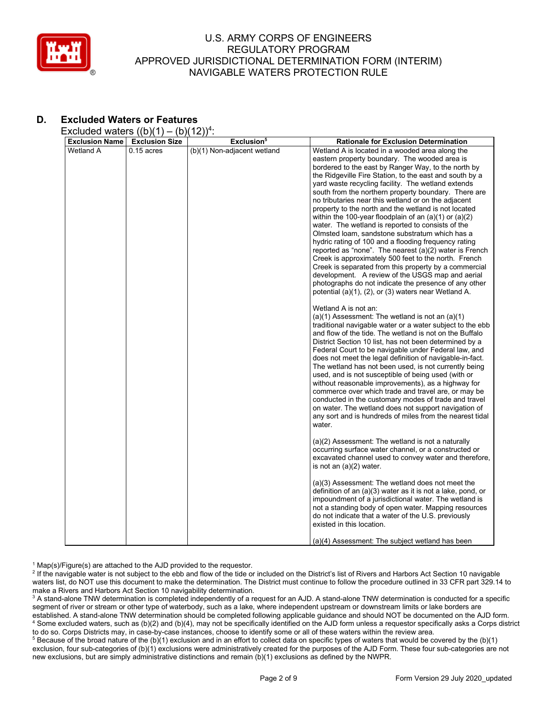

# **D. Excluded Waters or Features**

Excluded waters  $((b)(1) - (b)(12))^4$ :

| <b>Exclusion Name</b> | <b>Exclusion Size</b> | Exclusion <sup>5</sup>      | <b>Rationale for Exclusion Determination</b>                                                                     |
|-----------------------|-----------------------|-----------------------------|------------------------------------------------------------------------------------------------------------------|
| Wetland A             | $0.15$ acres          | (b)(1) Non-adjacent wetland | Wetland A is located in a wooded area along the                                                                  |
|                       |                       |                             | eastern property boundary. The wooded area is                                                                    |
|                       |                       |                             | bordered to the east by Ranger Way, to the north by                                                              |
|                       |                       |                             | the Ridgeville Fire Station, to the east and south by a                                                          |
|                       |                       |                             | yard waste recycling facility. The wetland extends<br>south from the northern property boundary. There are       |
|                       |                       |                             | no tributaries near this wetland or on the adjacent                                                              |
|                       |                       |                             | property to the north and the wetland is not located                                                             |
|                       |                       |                             | within the 100-year floodplain of an $(a)(1)$ or $(a)(2)$                                                        |
|                       |                       |                             | water. The wetland is reported to consists of the                                                                |
|                       |                       |                             | Olmsted Ioam, sandstone substratum which has a                                                                   |
|                       |                       |                             | hydric rating of 100 and a flooding frequency rating                                                             |
|                       |                       |                             | reported as "none". The nearest (a)(2) water is French                                                           |
|                       |                       |                             | Creek is approximately 500 feet to the north. French                                                             |
|                       |                       |                             | Creek is separated from this property by a commercial<br>development. A review of the USGS map and aerial        |
|                       |                       |                             | photographs do not indicate the presence of any other                                                            |
|                       |                       |                             | potential (a)(1), (2), or (3) waters near Wetland A.                                                             |
|                       |                       |                             |                                                                                                                  |
|                       |                       |                             | Wetland A is not an:                                                                                             |
|                       |                       |                             | $(a)(1)$ Assessment: The wetland is not an $(a)(1)$<br>traditional navigable water or a water subject to the ebb |
|                       |                       |                             | and flow of the tide. The wetland is not on the Buffalo                                                          |
|                       |                       |                             | District Section 10 list, has not been determined by a                                                           |
|                       |                       |                             | Federal Court to be navigable under Federal law, and                                                             |
|                       |                       |                             | does not meet the legal definition of navigable-in-fact.                                                         |
|                       |                       |                             | The wetland has not been used, is not currently being                                                            |
|                       |                       |                             | used, and is not susceptible of being used (with or<br>without reasonable improvements), as a highway for        |
|                       |                       |                             | commerce over which trade and travel are, or may be                                                              |
|                       |                       |                             | conducted in the customary modes of trade and travel                                                             |
|                       |                       |                             | on water. The wetland does not support navigation of                                                             |
|                       |                       |                             | any sort and is hundreds of miles from the nearest tidal                                                         |
|                       |                       |                             | water.                                                                                                           |
|                       |                       |                             | (a)(2) Assessment: The wetland is not a naturally                                                                |
|                       |                       |                             | occurring surface water channel, or a constructed or                                                             |
|                       |                       |                             | excavated channel used to convey water and therefore,                                                            |
|                       |                       |                             | is not an $(a)(2)$ water.                                                                                        |
|                       |                       |                             | (a)(3) Assessment: The wetland does not meet the                                                                 |
|                       |                       |                             | definition of an (a)(3) water as it is not a lake, pond, or                                                      |
|                       |                       |                             | impoundment of a jurisdictional water. The wetland is                                                            |
|                       |                       |                             | not a standing body of open water. Mapping resources                                                             |
|                       |                       |                             | do not indicate that a water of the U.S. previously                                                              |
|                       |                       |                             | existed in this location.                                                                                        |
|                       |                       |                             | (a)(4) Assessment: The subject wetland has been                                                                  |
|                       |                       |                             |                                                                                                                  |

 $1$  Map(s)/Figure(s) are attached to the AJD provided to the requestor.

<sup>2</sup> If the navigable water is not subject to the ebb and flow of the tide or included on the District's list of Rivers and Harbors Act Section 10 navigable waters list, do NOT use this document to make the determination. The District must continue to follow the procedure outlined in 33 CFR part 329.14 to make a Rivers and Harbors Act Section 10 navigability determination.

<sup>3</sup> A stand-alone TNW determination is completed independently of a request for an AJD. A stand-alone TNW determination is conducted for a specific segment of river or stream or other type of waterbody, such as a lake, where independent upstream or downstream limits or lake borders are established. A stand-alone TNW determination should be completed following applicable guidance and should NOT be documented on the AJD form. <sup>4</sup> Some excluded waters, such as (b)(2) and (b)(4), may not be specifically identified on the AJD form unless a requestor specifically asks a Corps district to do so. Corps Districts may, in case-by-case instances, choose to identify some or all of these waters within the review area.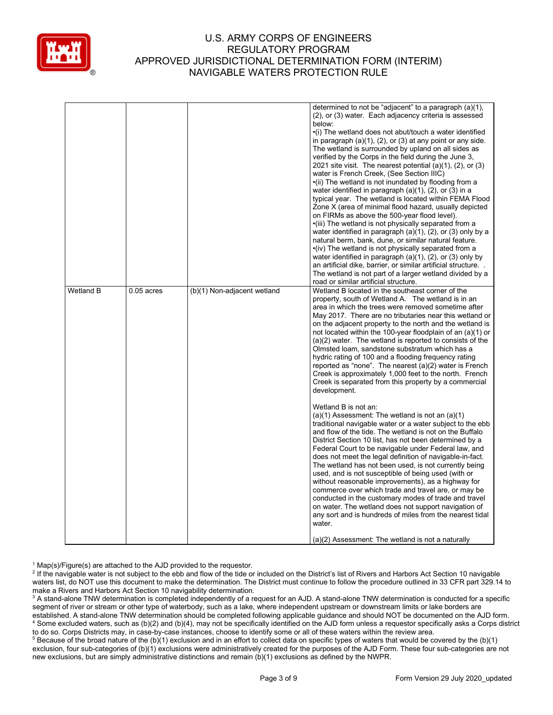

|           |              |                             | determined to not be "adjacent" to a paragraph (a)(1),<br>(2), or (3) water. Each adjacency criteria is assessed<br>below:<br>•(i) The wetland does not abut/touch a water identified<br>in paragraph $(a)(1)$ , $(2)$ , or $(3)$ at any point or any side.<br>The wetland is surrounded by upland on all sides as<br>verified by the Corps in the field during the June 3,<br>2021 site visit. The nearest potential $(a)(1)$ , $(2)$ , or $(3)$<br>water is French Creek, (See Section IIIC)<br>•(ii) The wetland is not inundated by flooding from a<br>water identified in paragraph $(a)(1)$ , $(2)$ , or $(3)$ in a<br>typical year. The wetland is located within FEMA Flood<br>Zone X (area of minimal flood hazard, usually depicted<br>on FIRMs as above the 500-year flood level).<br>•(iii) The wetland is not physically separated from a<br>water identified in paragraph $(a)(1)$ , $(2)$ , or $(3)$ only by a<br>natural berm, bank, dune, or similar natural feature.<br>•(iv) The wetland is not physically separated from a<br>water identified in paragraph $(a)(1)$ , $(2)$ , or $(3)$ only by<br>an artificial dike, barrier, or similar artificial structure<br>The wetland is not part of a larger wetland divided by a |
|-----------|--------------|-----------------------------|-------------------------------------------------------------------------------------------------------------------------------------------------------------------------------------------------------------------------------------------------------------------------------------------------------------------------------------------------------------------------------------------------------------------------------------------------------------------------------------------------------------------------------------------------------------------------------------------------------------------------------------------------------------------------------------------------------------------------------------------------------------------------------------------------------------------------------------------------------------------------------------------------------------------------------------------------------------------------------------------------------------------------------------------------------------------------------------------------------------------------------------------------------------------------------------------------------------------------------------------------|
| Wetland B | $0.05$ acres | (b)(1) Non-adjacent wetland | road or similar artificial structure.<br>Wetland B located in the southeast corner of the<br>property, south of Wetland A. The wetland is in an<br>area in which the trees were removed sometime after<br>May 2017. There are no tributaries near this wetland or<br>on the adjacent property to the north and the wetland is<br>not located within the 100-year floodplain of an (a)(1) or<br>$(a)(2)$ water. The wetland is reported to consists of the<br>Olmsted Ioam, sandstone substratum which has a<br>hydric rating of 100 and a flooding frequency rating<br>reported as "none". The nearest (a)(2) water is French<br>Creek is approximately 1,000 feet to the north. French<br>Creek is separated from this property by a commercial<br>development.<br>Wetland B is not an:<br>$(a)(1)$ Assessment: The wetland is not an $(a)(1)$<br>traditional navigable water or a water subject to the ebb<br>and flow of the tide. The wetland is not on the Buffalo<br>District Section 10 list, has not been determined by a                                                                                                                                                                                                               |
|           |              |                             | Federal Court to be navigable under Federal law, and<br>does not meet the legal definition of navigable-in-fact.<br>The wetland has not been used, is not currently being<br>used, and is not susceptible of being used (with or<br>without reasonable improvements), as a highway for<br>commerce over which trade and travel are, or may be<br>conducted in the customary modes of trade and travel<br>on water. The wetland does not support navigation of<br>any sort and is hundreds of miles from the nearest tidal<br>water.<br>(a)(2) Assessment: The wetland is not a naturally                                                                                                                                                                                                                                                                                                                                                                                                                                                                                                                                                                                                                                                        |

 $1$  Map(s)/Figure(s) are attached to the AJD provided to the requestor.

<sup>2</sup> If the navigable water is not subject to the ebb and flow of the tide or included on the District's list of Rivers and Harbors Act Section 10 navigable waters list, do NOT use this document to make the determination. The District must continue to follow the procedure outlined in 33 CFR part 329.14 to make a Rivers and Harbors Act Section 10 navigability determination.

<sup>3</sup> A stand-alone TNW determination is completed independently of a request for an AJD. A stand-alone TNW determination is conducted for a specific segment of river or stream or other type of waterbody, such as a lake, where independent upstream or downstream limits or lake borders are established. A stand-alone TNW determination should be completed following applicable guidance and should NOT be documented on the AJD form. <sup>4</sup> Some excluded waters, such as (b)(2) and (b)(4), may not be specifically identified on the AJD form unless a requestor specifically asks a Corps district to do so. Corps Districts may, in case-by-case instances, choose to identify some or all of these waters within the review area.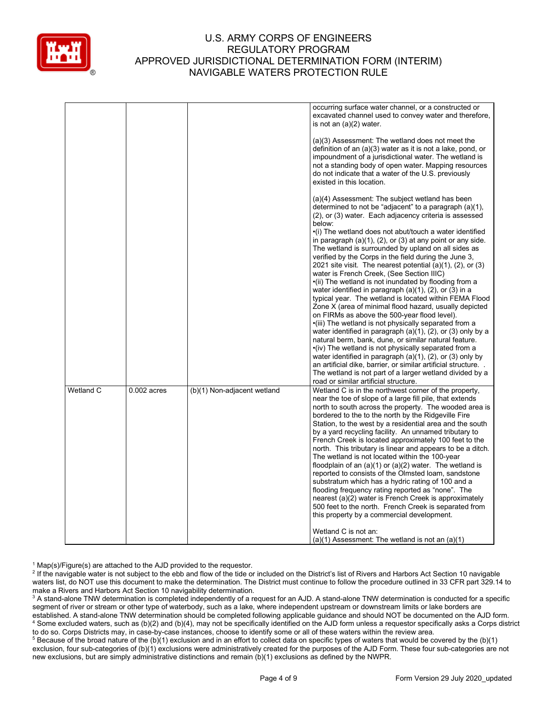

|           |               |                             | occurring surface water channel, or a constructed or<br>excavated channel used to convey water and therefore,<br>is not an (a)(2) water.                                                                                                                                                                                                                                                                                                                                                                                                                                                                                                                                                                                                                                                                                                                                                                                                                                                                                                                                                                                                                                                                                                                                                                                             |
|-----------|---------------|-----------------------------|--------------------------------------------------------------------------------------------------------------------------------------------------------------------------------------------------------------------------------------------------------------------------------------------------------------------------------------------------------------------------------------------------------------------------------------------------------------------------------------------------------------------------------------------------------------------------------------------------------------------------------------------------------------------------------------------------------------------------------------------------------------------------------------------------------------------------------------------------------------------------------------------------------------------------------------------------------------------------------------------------------------------------------------------------------------------------------------------------------------------------------------------------------------------------------------------------------------------------------------------------------------------------------------------------------------------------------------|
|           |               |                             | (a)(3) Assessment: The wetland does not meet the<br>definition of an $(a)(3)$ water as it is not a lake, pond, or<br>impoundment of a jurisdictional water. The wetland is<br>not a standing body of open water. Mapping resources<br>do not indicate that a water of the U.S. previously<br>existed in this location.                                                                                                                                                                                                                                                                                                                                                                                                                                                                                                                                                                                                                                                                                                                                                                                                                                                                                                                                                                                                               |
|           |               |                             | (a)(4) Assessment: The subject wetland has been<br>determined to not be "adjacent" to a paragraph (a)(1),<br>(2), or (3) water. Each adjacency criteria is assessed<br>below:<br>•(i) The wetland does not abut/touch a water identified<br>in paragraph $(a)(1)$ , $(2)$ , or $(3)$ at any point or any side.<br>The wetland is surrounded by upland on all sides as<br>verified by the Corps in the field during the June 3,<br>2021 site visit. The nearest potential $(a)(1)$ , $(2)$ , or $(3)$<br>water is French Creek, (See Section IIIC)<br>•(ii) The wetland is not inundated by flooding from a<br>water identified in paragraph $(a)(1)$ , $(2)$ , or $(3)$ in a<br>typical year. The wetland is located within FEMA Flood<br>Zone X (area of minimal flood hazard, usually depicted<br>on FIRMs as above the 500-year flood level).<br>•(iii) The wetland is not physically separated from a<br>water identified in paragraph (a)(1), (2), or (3) only by a<br>natural berm, bank, dune, or similar natural feature.<br>•(iv) The wetland is not physically separated from a<br>water identified in paragraph $(a)(1)$ , $(2)$ , or $(3)$ only by<br>an artificial dike, barrier, or similar artificial structure.<br>The wetland is not part of a larger wetland divided by a<br>road or similar artificial structure. |
| Wetland C | $0.002$ acres | (b)(1) Non-adjacent wetland | Wetland C is in the northwest corner of the property,<br>near the toe of slope of a large fill pile, that extends<br>north to south across the property. The wooded area is<br>bordered to the to the north by the Ridgeville Fire<br>Station, to the west by a residential area and the south<br>by a yard recycling facility. An unnamed tributary to<br>French Creek is located approximately 100 feet to the<br>north. This tributary is linear and appears to be a ditch.<br>The wetland is not located within the 100-year<br>floodplain of an (a)(1) or (a)(2) water. The wetland is<br>reported to consists of the Olmsted loam, sandstone<br>substratum which has a hydric rating of 100 and a<br>flooding frequency rating reported as "none". The<br>nearest (a)(2) water is French Creek is approximately<br>500 feet to the north. French Creek is separated from<br>this property by a commercial development.<br>Wetland C is not an:                                                                                                                                                                                                                                                                                                                                                                                 |
|           |               |                             | $(a)(1)$ Assessment: The wetland is not an $(a)(1)$                                                                                                                                                                                                                                                                                                                                                                                                                                                                                                                                                                                                                                                                                                                                                                                                                                                                                                                                                                                                                                                                                                                                                                                                                                                                                  |

 $1$  Map(s)/Figure(s) are attached to the AJD provided to the requestor.

<sup>2</sup> If the navigable water is not subject to the ebb and flow of the tide or included on the District's list of Rivers and Harbors Act Section 10 navigable waters list, do NOT use this document to make the determination. The District must continue to follow the procedure outlined in 33 CFR part 329.14 to make a Rivers and Harbors Act Section 10 navigability determination.

<sup>3</sup> A stand-alone TNW determination is completed independently of a request for an AJD. A stand-alone TNW determination is conducted for a specific segment of river or stream or other type of waterbody, such as a lake, where independent upstream or downstream limits or lake borders are established. A stand-alone TNW determination should be completed following applicable guidance and should NOT be documented on the AJD form. <sup>4</sup> Some excluded waters, such as (b)(2) and (b)(4), may not be specifically identified on the AJD form unless a requestor specifically asks a Corps district to do so. Corps Districts may, in case-by-case instances, choose to identify some or all of these waters within the review area.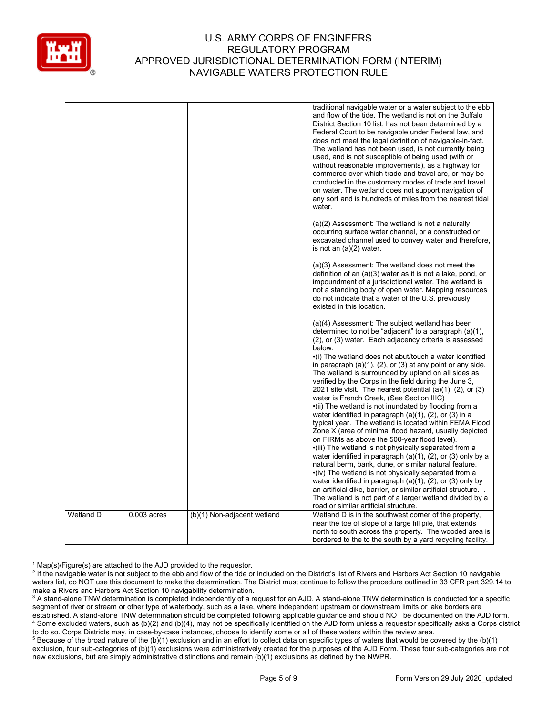

|           |               |                             | traditional navigable water or a water subject to the ebb                                                                                                                                                                                                                                                                                                                                                                                                                                                                                                                                                                                                                                                                                                                                                                                                                                                                                                                                                                                                                                                                                                                                                                                                                                                                   |
|-----------|---------------|-----------------------------|-----------------------------------------------------------------------------------------------------------------------------------------------------------------------------------------------------------------------------------------------------------------------------------------------------------------------------------------------------------------------------------------------------------------------------------------------------------------------------------------------------------------------------------------------------------------------------------------------------------------------------------------------------------------------------------------------------------------------------------------------------------------------------------------------------------------------------------------------------------------------------------------------------------------------------------------------------------------------------------------------------------------------------------------------------------------------------------------------------------------------------------------------------------------------------------------------------------------------------------------------------------------------------------------------------------------------------|
|           |               |                             | and flow of the tide. The wetland is not on the Buffalo<br>District Section 10 list, has not been determined by a<br>Federal Court to be navigable under Federal law, and<br>does not meet the legal definition of navigable-in-fact.<br>The wetland has not been used, is not currently being<br>used, and is not susceptible of being used (with or<br>without reasonable improvements), as a highway for<br>commerce over which trade and travel are, or may be<br>conducted in the customary modes of trade and travel<br>on water. The wetland does not support navigation of<br>any sort and is hundreds of miles from the nearest tidal<br>water.                                                                                                                                                                                                                                                                                                                                                                                                                                                                                                                                                                                                                                                                    |
|           |               |                             | (a)(2) Assessment: The wetland is not a naturally<br>occurring surface water channel, or a constructed or<br>excavated channel used to convey water and therefore,<br>is not an (a)(2) water.                                                                                                                                                                                                                                                                                                                                                                                                                                                                                                                                                                                                                                                                                                                                                                                                                                                                                                                                                                                                                                                                                                                               |
|           |               |                             | (a)(3) Assessment: The wetland does not meet the<br>definition of an (a)(3) water as it is not a lake, pond, or<br>impoundment of a jurisdictional water. The wetland is<br>not a standing body of open water. Mapping resources<br>do not indicate that a water of the U.S. previously<br>existed in this location.                                                                                                                                                                                                                                                                                                                                                                                                                                                                                                                                                                                                                                                                                                                                                                                                                                                                                                                                                                                                        |
|           |               |                             | (a)(4) Assessment: The subject wetland has been<br>determined to not be "adjacent" to a paragraph (a)(1),<br>(2), or (3) water. Each adjacency criteria is assessed<br>below:<br>•(i) The wetland does not abut/touch a water identified<br>in paragraph $(a)(1)$ , $(2)$ , or $(3)$ at any point or any side.<br>The wetland is surrounded by upland on all sides as<br>verified by the Corps in the field during the June 3,<br>2021 site visit. The nearest potential $(a)(1)$ , $(2)$ , or $(3)$<br>water is French Creek, (See Section IIIC)<br>•(ii) The wetland is not inundated by flooding from a<br>water identified in paragraph $(a)(1)$ , $(2)$ , or $(3)$ in a<br>typical year. The wetland is located within FEMA Flood<br>Zone X (area of minimal flood hazard, usually depicted<br>on FIRMs as above the 500-year flood level).<br>•(iii) The wetland is not physically separated from a<br>water identified in paragraph (a)(1), (2), or (3) only by a<br>natural berm, bank, dune, or similar natural feature.<br>•(iv) The wetland is not physically separated from a<br>water identified in paragraph (a)(1), (2), or (3) only by<br>an artificial dike, barrier, or similar artificial structure<br>The wetland is not part of a larger wetland divided by a<br>road or similar artificial structure. |
| Wetland D | $0.003$ acres | (b)(1) Non-adjacent wetland | Wetland D is in the southwest corner of the property,<br>near the toe of slope of a large fill pile, that extends<br>north to south across the property. The wooded area is<br>bordered to the to the south by a yard recycling facility.                                                                                                                                                                                                                                                                                                                                                                                                                                                                                                                                                                                                                                                                                                                                                                                                                                                                                                                                                                                                                                                                                   |

 $1$  Map(s)/Figure(s) are attached to the AJD provided to the requestor.

<sup>&</sup>lt;sup>2</sup> If the navigable water is not subject to the ebb and flow of the tide or included on the District's list of Rivers and Harbors Act Section 10 navigable waters list, do NOT use this document to make the determination. The District must continue to follow the procedure outlined in 33 CFR part 329.14 to make a Rivers and Harbors Act Section 10 navigability determination.

<sup>&</sup>lt;sup>3</sup> A stand-alone TNW determination is completed independently of a request for an AJD. A stand-alone TNW determination is conducted for a specific segment of river or stream or other type of waterbody, such as a lake, where independent upstream or downstream limits or lake borders are established. A stand-alone TNW determination should be completed following applicable guidance and should NOT be documented on the AJD form. <sup>4</sup> Some excluded waters, such as (b)(2) and (b)(4), may not be specifically identified on the AJD form unless a requestor specifically asks a Corps district to do so. Corps Districts may, in case-by-case instances, choose to identify some or all of these waters within the review area.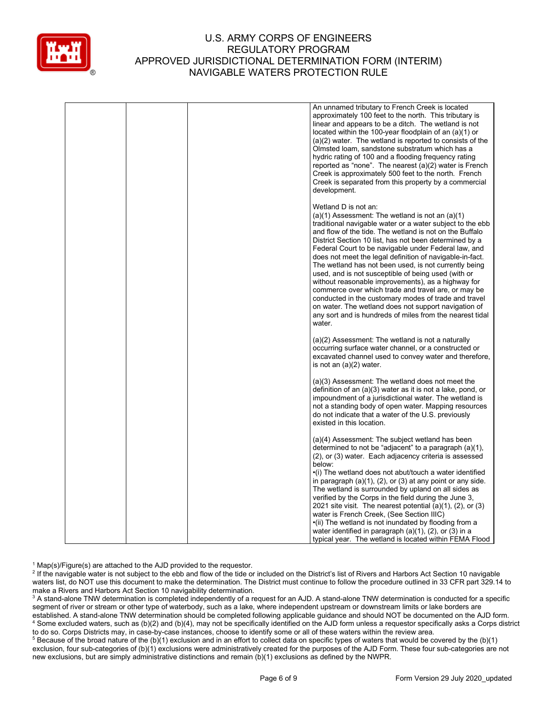

|  | An unnamed tributary to French Creek is located<br>approximately 100 feet to the north. This tributary is<br>linear and appears to be a ditch. The wetland is not<br>located within the 100-year floodplain of an $(a)(1)$ or<br>(a)(2) water. The wetland is reported to consists of the<br>Olmsted Ioam, sandstone substratum which has a<br>hydric rating of 100 and a flooding frequency rating<br>reported as "none". The nearest $(a)(2)$ water is French<br>Creek is approximately 500 feet to the north. French<br>Creek is separated from this property by a commercial<br>development.                                                                                                                                                                                                     |
|--|------------------------------------------------------------------------------------------------------------------------------------------------------------------------------------------------------------------------------------------------------------------------------------------------------------------------------------------------------------------------------------------------------------------------------------------------------------------------------------------------------------------------------------------------------------------------------------------------------------------------------------------------------------------------------------------------------------------------------------------------------------------------------------------------------|
|  | Wetland D is not an:<br>$(a)(1)$ Assessment: The wetland is not an $(a)(1)$<br>traditional navigable water or a water subject to the ebb<br>and flow of the tide. The wetland is not on the Buffalo<br>District Section 10 list, has not been determined by a<br>Federal Court to be navigable under Federal law, and<br>does not meet the legal definition of navigable-in-fact.<br>The wetland has not been used, is not currently being<br>used, and is not susceptible of being used (with or<br>without reasonable improvements), as a highway for<br>commerce over which trade and travel are, or may be<br>conducted in the customary modes of trade and travel<br>on water. The wetland does not support navigation of<br>any sort and is hundreds of miles from the nearest tidal<br>water. |
|  | $(a)(2)$ Assessment: The wetland is not a naturally<br>occurring surface water channel, or a constructed or<br>excavated channel used to convey water and therefore,<br>is not an $(a)(2)$ water.                                                                                                                                                                                                                                                                                                                                                                                                                                                                                                                                                                                                    |
|  | (a)(3) Assessment: The wetland does not meet the<br>definition of an (a)(3) water as it is not a lake, pond, or<br>impoundment of a jurisdictional water. The wetland is<br>not a standing body of open water. Mapping resources<br>do not indicate that a water of the U.S. previously<br>existed in this location.                                                                                                                                                                                                                                                                                                                                                                                                                                                                                 |
|  | (a)(4) Assessment: The subject wetland has been<br>determined to not be "adjacent" to a paragraph (a)(1),<br>(2), or (3) water. Each adjacency criteria is assessed<br>below:<br>•(i) The wetland does not abut/touch a water identified<br>in paragraph $(a)(1)$ , $(2)$ , or $(3)$ at any point or any side.<br>The wetland is surrounded by upland on all sides as<br>verified by the Corps in the field during the June 3,<br>2021 site visit. The nearest potential $(a)(1)$ , $(2)$ , or $(3)$<br>water is French Creek, (See Section IIIC)<br>•(ii) The wetland is not inundated by flooding from a<br>water identified in paragraph $(a)(1)$ , $(2)$ , or $(3)$ in a<br>typical year. The wetland is located within FEMA Flood                                                               |

 $1$  Map(s)/Figure(s) are attached to the AJD provided to the requestor.

<sup>2</sup> If the navigable water is not subject to the ebb and flow of the tide or included on the District's list of Rivers and Harbors Act Section 10 navigable waters list, do NOT use this document to make the determination. The District must continue to follow the procedure outlined in 33 CFR part 329.14 to make a Rivers and Harbors Act Section 10 navigability determination.

<sup>3</sup> A stand-alone TNW determination is completed independently of a request for an AJD. A stand-alone TNW determination is conducted for a specific segment of river or stream or other type of waterbody, such as a lake, where independent upstream or downstream limits or lake borders are established. A stand-alone TNW determination should be completed following applicable guidance and should NOT be documented on the AJD form. <sup>4</sup> Some excluded waters, such as (b)(2) and (b)(4), may not be specifically identified on the AJD form unless a requestor specifically asks a Corps district to do so. Corps Districts may, in case-by-case instances, choose to identify some or all of these waters within the review area.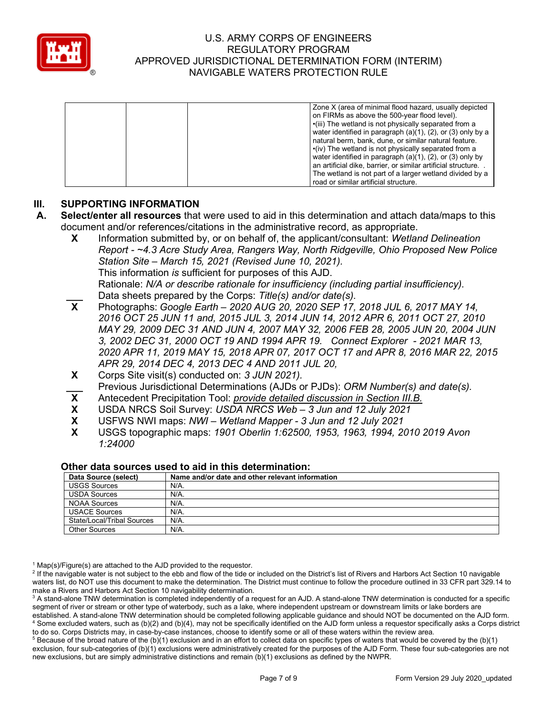

|  | Zone X (area of minimal flood hazard, usually depicted              |
|--|---------------------------------------------------------------------|
|  | on FIRMs as above the 500-year flood level).                        |
|  | •(iii) The wetland is not physically separated from a               |
|  | water identified in paragraph $(a)(1)$ , $(2)$ , or $(3)$ only by a |
|  | natural berm, bank, dune, or similar natural feature.               |
|  | $\cdot$ (iv) The wetland is not physically separated from a         |
|  | water identified in paragraph (a)(1), (2), or (3) only by           |
|  | an artificial dike, barrier, or similar artificial structure.       |
|  | The wetland is not part of a larger wetland divided by a            |
|  | road or similar artificial structure.                               |

# **III. SUPPORTING INFORMATION**

- **A. Select/enter all resources** that were used to aid in this determination and attach data/maps to this document and/or references/citations in the administrative record, as appropriate.
	- **X** Information submitted by, or on behalf of, the applicant/consultant: *Wetland Delineation Report - ~4.3 Acre Study Area, Rangers Way, North Ridgeville, Ohio Proposed New Police Station Site – March 15, 2021 (Revised June 10, 2021).* This information *is* sufficient for purposes of this AJD. Rationale: *N/A or describe rationale for insufficiency (including partial insufficiency).*
	- Data sheets prepared by the Corps: *Title(s) and/or date(s).*<br>**X** Photographs: *Google Earth 2020 AUG 20, 2020 SEP 17.* **X** Photographs: *Google Earth – 2020 AUG 20, 2020 SEP 17, 2018 JUL 6, 2017 MAY 14, 2016 OCT 25 JUN 11 and, 2015 JUL 3, 2014 JUN 14, 2012 APR 6, 2011 OCT 27, 2010 MAY 29, 2009 DEC 31 AND JUN 4, 2007 MAY 32, 2006 FEB 28, 2005 JUN 20, 2004 JUN 3, 2002 DEC 31, 2000 OCT 19 AND 1994 APR 19. Connect Explorer - 2021 MAR 13, 2020 APR 11, 2019 MAY 15, 2018 APR 07, 2017 OCT 17 and APR 8, 2016 MAR 22, 2015 APR 29, 2014 DEC 4, 2013 DEC 4 AND 2011 JUL 20,*
	- **X** Corps Site visit(s) conducted on: *3 JUN 2021).*
	- **\_\_\_** Previous Jurisdictional Determinations (AJDs or PJDs): *ORM Number(s) and date(s).*<br>**X** Antecedent Precipitation Tool: *provide detailed discussion in Section III.B.*
	- **X** Antecedent Precipitation Tool: *provide detailed discussion in Section III.B.*
	- **X** USDA NRCS Soil Survey: *USDA NRCS Web – 3 Jun and 12 July 2021*
	- **X** USFWS NWI maps: *NWI – Wetland Mapper - 3 Jun and 12 July 2021*
	- **X** USGS topographic maps: *1901 Oberlin 1:62500, 1953, 1963, 1994, 2010 2019 Avon 1:24000*

| Data Source (select)       | Name and/or date and other relevant information |  |  |
|----------------------------|-------------------------------------------------|--|--|
| <b>USGS Sources</b>        | $N/A$ .                                         |  |  |
| <b>USDA Sources</b>        | N/A.                                            |  |  |
| NOAA Sources               | N/A.                                            |  |  |
| <b>USACE Sources</b>       | N/A.                                            |  |  |
| State/Local/Tribal Sources | N/A.                                            |  |  |
| <b>Other Sources</b>       | $N/A$ .                                         |  |  |

#### **Other data sources used to aid in this determination:**

 $1$  Map(s)/Figure(s) are attached to the AJD provided to the requestor.

<sup>2</sup> If the navigable water is not subject to the ebb and flow of the tide or included on the District's list of Rivers and Harbors Act Section 10 navigable waters list, do NOT use this document to make the determination. The District must continue to follow the procedure outlined in 33 CFR part 329.14 to make a Rivers and Harbors Act Section 10 navigability determination.

<sup>&</sup>lt;sup>3</sup> A stand-alone TNW determination is completed independently of a request for an AJD. A stand-alone TNW determination is conducted for a specific segment of river or stream or other type of waterbody, such as a lake, where independent upstream or downstream limits or lake borders are established. A stand-alone TNW determination should be completed following applicable guidance and should NOT be documented on the AJD form. <sup>4</sup> Some excluded waters, such as (b)(2) and (b)(4), may not be specifically identified on the AJD form unless a requestor specifically asks a Corps district to do so. Corps Districts may, in case-by-case instances, choose to identify some or all of these waters within the review area.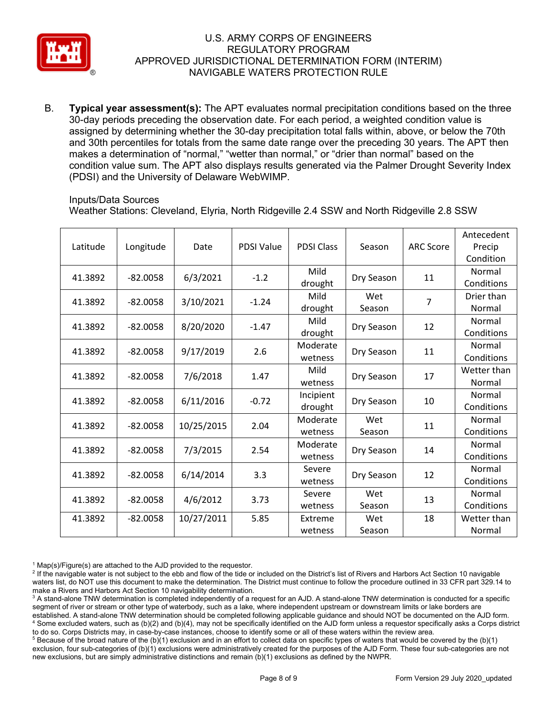

B. **Typical year assessment(s):** The APT evaluates normal precipitation conditions based on the three 30-day periods preceding the observation date. For each period, a weighted condition value is assigned by determining whether the 30-day precipitation total falls within, above, or below the 70th and 30th percentiles for totals from the same date range over the preceding 30 years. The APT then makes a determination of "normal," "wetter than normal," or "drier than normal" based on the condition value sum. The APT also displays results generated via the Palmer Drought Severity Index (PDSI) and the University of Delaware WebWIMP.

#### Inputs/Data Sources

Weather Stations: Cleveland, Elyria, North Ridgeville 2.4 SSW and North Ridgeville 2.8 SSW

| Latitude | Longitude  | Date       | <b>PDSI Value</b> | <b>PDSI Class</b>    | Season        | <b>ARC Score</b> | Antecedent<br>Precip<br>Condition |
|----------|------------|------------|-------------------|----------------------|---------------|------------------|-----------------------------------|
| 41.3892  | $-82.0058$ | 6/3/2021   | $-1.2$            | Mild<br>drought      | Dry Season    | 11               | Normal<br>Conditions              |
| 41.3892  | $-82.0058$ | 3/10/2021  | $-1.24$           | Mild<br>drought      | Wet<br>Season | $\overline{7}$   | Drier than<br>Normal              |
| 41.3892  | $-82.0058$ | 8/20/2020  | $-1.47$           | Mild<br>drought      | Dry Season    | 12               | Normal<br>Conditions              |
| 41.3892  | $-82.0058$ | 9/17/2019  | 2.6               | Moderate<br>wetness  | Dry Season    | 11               | Normal<br>Conditions              |
| 41.3892  | $-82.0058$ | 7/6/2018   | 1.47              | Mild<br>wetness      | Dry Season    | 17               | Wetter than<br>Normal             |
| 41.3892  | $-82.0058$ | 6/11/2016  | $-0.72$           | Incipient<br>drought | Dry Season    | 10               | Normal<br>Conditions              |
| 41.3892  | $-82.0058$ | 10/25/2015 | 2.04              | Moderate<br>wetness  | Wet<br>Season | 11               | Normal<br>Conditions              |
| 41.3892  | $-82.0058$ | 7/3/2015   | 2.54              | Moderate<br>wetness  | Dry Season    | 14               | Normal<br>Conditions              |
| 41.3892  | $-82.0058$ | 6/14/2014  | 3.3               | Severe<br>wetness    | Dry Season    | 12               | Normal<br>Conditions              |
| 41.3892  | $-82.0058$ | 4/6/2012   | 3.73              | Severe<br>wetness    | Wet<br>Season | 13               | Normal<br>Conditions              |
| 41.3892  | $-82.0058$ | 10/27/2011 | 5.85              | Extreme<br>wetness   | Wet<br>Season | 18               | Wetter than<br>Normal             |

 $1$  Map(s)/Figure(s) are attached to the AJD provided to the requestor.

<sup>2</sup> If the navigable water is not subject to the ebb and flow of the tide or included on the District's list of Rivers and Harbors Act Section 10 navigable waters list, do NOT use this document to make the determination. The District must continue to follow the procedure outlined in 33 CFR part 329.14 to make a Rivers and Harbors Act Section 10 navigability determination.

<sup>3</sup> A stand-alone TNW determination is completed independently of a request for an AJD. A stand-alone TNW determination is conducted for a specific segment of river or stream or other type of waterbody, such as a lake, where independent upstream or downstream limits or lake borders are established. A stand-alone TNW determination should be completed following applicable guidance and should NOT be documented on the AJD form. <sup>4</sup> Some excluded waters, such as (b)(2) and (b)(4), may not be specifically identified on the AJD form unless a requestor specifically asks a Corps district to do so. Corps Districts may, in case-by-case instances, choose to identify some or all of these waters within the review area.